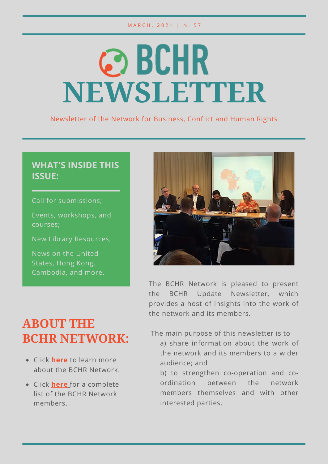#### M A R C H . 2021 | N . 57

# **@BCHR NEWSLETTER**

Newsletter of the Network for Business, Conflict and Human Rights

## **WHAT'S INSIDE THIS ISSUE:**

Call for submissions;

Events, workshops, and courses;

New Library Resources;

News on the United States, Hong Kong, Cambodia, and more.



The BCHR Network is pleased to present the BCHR Update Newsletter, which provides a host of insights into the work of the network and its members.

# **ABOUT THE BCHR NETWORK:**

- Click **here** to learn more about the BCHR Network.
- Click **here** for a complete list of the BCHR Network members.

The main purpose of this newsletter is to

a) share information about the work of the network and its members to a wider audience; and

b) to strengthen co-operation and coordination between the network members themselves and with other interested parties.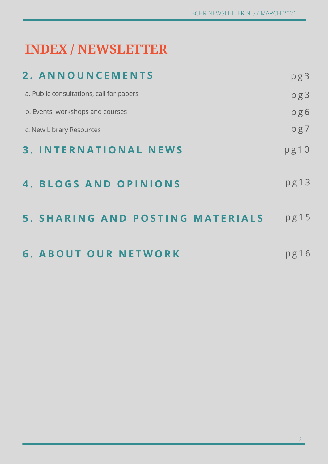# **INDEX / NEWSLETTER**

| 2. ANNOUNCEMENTS                         | pg3  |
|------------------------------------------|------|
| a. Public consultations, call for papers | pg3  |
| b. Events, workshops and courses         | pg6  |
| c. New Library Resources                 | pg7  |
| <b>3. INTERNATIONAL NEWS</b>             | pg10 |
| <b>4. BLOGS AND OPINIONS</b>             | pg13 |
| <b>5. SHARING AND POSTING MATERIALS</b>  | pg15 |
| <b>6. ABOUT OUR NETWORK</b>              | pg16 |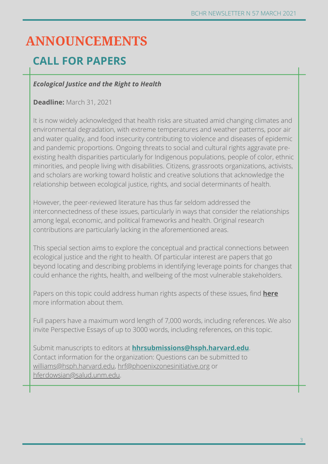# **ANNOUNCEMENTS**

## **CALL FOR PAPERS**

### *Ecological Justice and the Right to Health*

#### **Deadline:** March 31, 2021

It is now widely acknowledged that health risks are situated amid changing climates and environmental degradation, with extreme temperatures and weather patterns, poor air and water quality, and food insecurity contributing to violence and diseases of epidemic and pandemic proportions. Ongoing threats to social and cultural rights aggravate preexisting health disparities particularly for Indigenous populations, people of color, ethnic minorities, and people living with disabilities. Citizens, grassroots organizations, activists, and scholars are working toward holistic and creative solutions that acknowledge the relationship between ecological justice, rights, and social determinants of health.

However, the peer-reviewed literature has thus far seldom addressed the interconnectedness of these issues, particularly in ways that consider the relationships among legal, economic, and political frameworks and health. Original research contributions are particularly lacking in the aforementioned areas.

This special section aims to explore the conceptual and practical connections between ecological justice and the right to health. Of particular interest are papers that go beyond locating and describing problems in identifying leverage points for changes that could enhance the rights, health, and wellbeing of the most vulnerable stakeholders.

Papers on this topic could address human rights aspects of these issues, find **here** more information about them.

Full papers have a maximum word length of 7,000 words, including references. We also invite Perspective Essays of up to 3000 words, including references, on this topic.

Submit manuscripts to editors at **hhrsubmissions@hsph.harvard.edu**. Contact information for the organization: Questions can be submitted to williams@hsph.harvard.edu, hrf@phoenixzonesinitiative.org or hferdowsian@salud.unm.edu.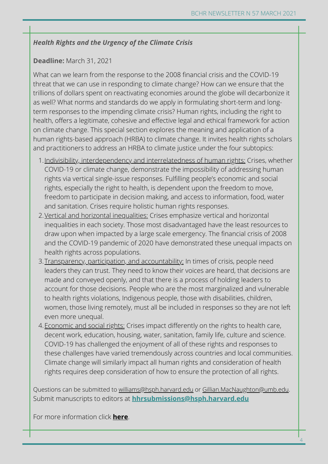#### *Health Rights and the Urgency of the Climate Crisis*

#### **Deadline:** March 31, 2021

What can we learn from the response to the 2008 financial crisis and the COVID-19 threat that we can use in responding to climate change? How can we ensure that the trillions of dollars spent on reactivating economies around the globe will decarbonize it as well? What norms and standards do we apply in formulating short-term and longterm responses to the impending climate crisis? Human rights, including the right to health, offers a legitimate, cohesive and effective legal and ethical framework for action on climate change. This special section explores the meaning and application of a human rights-based approach (HRBA) to climate change. It invites health rights scholars and practitioners to address an HRBA to climate justice under the four subtopics:

- 1. <u>Indivisibility, interdependency and interrelatedness of human rights:</u> Crises, whether COVID-19 or climate change, demonstrate the impossibility of addressing human rights via vertical single-issue responses. Fulfilling people's economic and social rights, especially the right to health, is dependent upon the freedom to move, freedom to participate in decision making, and access to information, food, water and sanitation. Crises require holistic human rights responses.
- 2. <u>Vertical and horizontal inequalities:</u> Crises emphasize vertical and horizontal inequalities in each society. Those most disadvantaged have the least resources to draw upon when impacted by a large scale emergency. The financial crisis of 2008 and the COVID-19 pandemic of 2020 have demonstrated these unequal impacts on health rights across populations.
- 3.<u>Transparency, participation, and accountability:</u> In times of crisis, people need leaders they can trust. They need to know their voices are heard, that decisions are made and conveyed openly, and that there is a process of holding leaders to account for those decisions. People who are the most marginalized and vulnerable to health rights violations, Indigenous people, those with disabilities, children, women, those living remotely, must all be included in responses so they are not left even more unequal.
- 4.<u>Economic and social rights:</u> Crises impact differently on the rights to health care, decent work, education, housing, water, sanitation, family life, culture and science. COVID-19 has challenged the enjoyment of all of these rights and responses to these challenges have varied tremendously across countries and local communities. Climate change will similarly impact all human rights and consideration of health rights requires deep consideration of how to ensure the protection of all rights.

Questions can be submitted to williams@hsph.harvard.edu or Gillian.MacNaughton@umb.edu. Submit manuscripts to editors at **hhrsubmissions@hsph.harvard.edu**

For more information click **here**.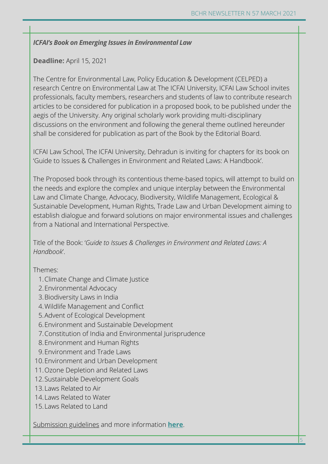#### *ICFAI's Book on Emerging Issues in Environmental Law*

#### **Deadline:** April 15, 2021

The Centre for Environmental Law, Policy Education & Development (CELPED) a research Centre on Environmental Law at The ICFAI University, ICFAI Law School invites professionals, faculty members, researchers and students of law to contribute research articles to be considered for publication in a proposed book, to be published under the aegis of the University. Any original scholarly work providing multi-disciplinary discussions on the environment and following the general theme outlined hereunder shall be considered for publication as part of the Book by the Editorial Board.

ICFAI Law School, The ICFAI University, Dehradun is inviting for chapters for its book on 'Guide to Issues & Challenges in Environment and Related Laws: A Handbook'.

The Proposed book through its contentious theme-based topics, will attempt to build on the needs and explore the complex and unique interplay between the Environmental Law and Climate Change, Advocacy, Biodiversity, Wildlife Management, Ecological & Sustainable Development, Human Rights, Trade Law and Urban Development aiming to establish dialogue and forward solutions on major environmental issues and challenges from a National and International Perspective.

Title of the Book: '*Guide to Issues & Challenges in Environment and Related Laws: A Handbook*'.

#### Themes:

- 1. Climate Change and Climate Justice
- Environmental Advocacy 2.
- Biodiversity Laws in India 3.
- Wildlife Management and Conflict 4.
- 5. Advent of Ecological Development
- Environment and Sustainable Development 6.
- Constitution of India and Environmental Jurisprudence 7.
- Environment and Human Rights 8.
- Environment and Trade Laws 9.
- 10. Environment and Urban Development
- 11. Ozone Depletion and Related Laws
- 12. Sustainable Development Goals
- 13. Laws Related to Air
- 14. Laws Related to Water
- 15. Laws Related to Land

Submission guidelines and more information **here**.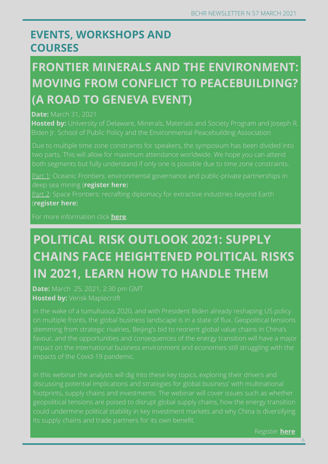## **EVENTS, WORKSHOPS AND COURSES**

# **FRONTIER MINERALS AND THE ENVIRONMENT: MOVING FROM CONFLICT TO PEACEBUILDING? (A ROAD TO GENEVA EVENT)**

#### **Date:** March 31, 2021

**Hosted by:** University of Delaware, Minerals, Materials and Society Program and Joseph R. Biden Jr. School of Public Policy and the Environmental Peacebuilding Association

Part 1: Oceanic Frontiers: environmental governance and public-private partnerships in deep sea mining (**register here**)

Part 2: Space Frontiers: recrafting diplomacy for extractive industries beyond Earth (**register here**)

For more information click **here**.

# **POLITICAL RISK OUTLOOK 2021: SUPPLY CHAINS FACE HEIGHTENED POLITICAL RISKS IN 2021, LEARN HOW TO HANDLE THEM**

**Date:** March 25, 2021, 2:30 pm GMT **Hosted by:** Verisk Maplecroft

In the wake of a tumultuous 2020, and with President Biden already reshaping US policy impact on the international business environment and economies still struggling with the

Register **here**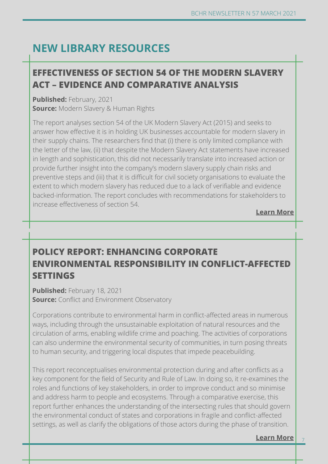## **NEW LIBRARY RESOURCES**

## **Learn more EFFECTIVENESS OF SECTION 54 OF THE MODERN SLAVERY ACT – EVIDENCE AND COMPARATIVE ANALYSIS**

**Published:** February, 2021 **Source:** Modern Slavery & Human Rights

The report analyses section 54 of the UK Modern Slavery Act (2015) and seeks to answer how effective it is in holding UK businesses accountable for modern slavery in their supply chains. The researchers find that (i) there is only limited compliance with the letter of the law, (ii) that despite the Modern Slavery Act statements have increased in length and sophistication, this did not necessarily translate into increased action or provide further insight into the company's modern slavery supply chain risks and preventive steps and (iii) that it is difficult for civil society organisations to evaluate the extent to which modern slavery has reduced due to a lack of verifiable and evidence backed-information. The report concludes with recommendations for stakeholders to increase effectiveness of section 54.

**Learn More**

## **POLICY REPORT: ENHANCING CORPORATE ENVIRONMENTAL RESPONSIBILITY IN CONFLICT-AFFECTED SETTINGS**

**Published:** February 18, 2021 **Source:** Conflict and Environment Observatory

Corporations contribute to environmental harm in conflict-affected areas in numerous ways, including through the unsustainable exploitation of natural resources and the circulation of arms, enabling wildlife crime and poaching. The activities of corporations can also undermine the environmental security of communities, in turn posing threats to human security, and triggering local disputes that impede peacebuilding.

This report reconceptualises environmental protection during and after conflicts as a key component for the field of Security and Rule of Law. In doing so, it re-examines the roles and functions of key stakeholders, in order to improve conduct and so minimise and address harm to people and ecosystems. Through a comparative exercise, this report further enhances the understanding of the intersecting rules that should govern the environmental conduct of states and corporations in fragile and conflict-affected settings, as well as clarify the obligations of those actors during the phase of transition.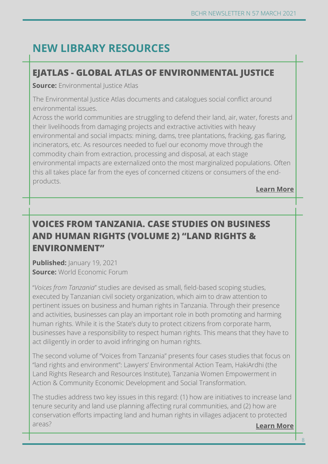# **NEW LIBRARY RESOURCES**

## **Learn more EJATLAS - GLOBAL ATLAS OF ENVIRONMENTAL JUSTICE**

**Source:** Environmental Justice Atlas

The Environmental Justice Atlas documents and catalogues social conflict around environmental issues.

Across the world communities are struggling to defend their land, air, water, forests and their livelihoods from damaging projects and extractive activities with heavy environmental and social impacts: mining, dams, tree plantations, fracking, gas flaring, incinerators, etc. As resources needed to fuel our economy move through the commodity chain from extraction, processing and disposal, at each stage environmental impacts are externalized onto the most marginalized populations. Often this all takes place far from the eyes of concerned citizens or consumers of the endproducts.

**Learn More**

## **VOICES FROM TANZANIA. CASE STUDIES ON BUSINESS AND HUMAN RIGHTS (VOLUME 2) "LAND RIGHTS & ENVIRONMENT"**

**Published:** *January* **19, 2021 Source:** World Economic Forum

"*Voices from Tanzania*" studies are devised as small, field-based scoping studies, executed by Tanzanian civil society organization, which aim to draw attention to pertinent issues on business and human rights in Tanzania. Through their presence and activities, businesses can play an important role in both promoting and harming human rights. While it is the State's duty to protect citizens from corporate harm, businesses have a responsibility to respect human rights. This means that they have to act diligently in order to avoid infringing on human rights.

The second volume of "Voices from Tanzania" presents four cases studies that focus on "land rights and environment": Lawyers' Environmental Action Team, HakiArdhi (the Land Rights Research and Resources Institute), Tanzania Women Empowerment in Action & Community Economic Development and Social Transformation.

The studies address two key issues in this regard: (1) how are initiatives to increase land tenure security and land use planning affecting rural communities, and (2) how are conservation efforts impacting land and human rights in villages adjacent to protected areas? **Learn More**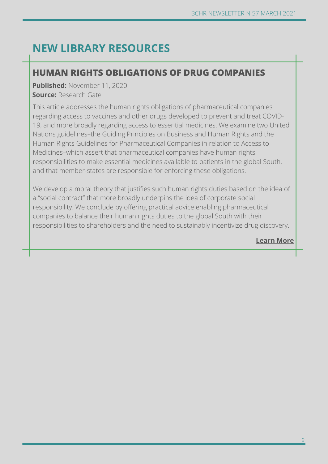## **NEW LIBRARY RESOURCES**

## **Learn more HUMAN RIGHTS OBLIGATIONS OF DRUG COMPANIES**

**Published:** November 11, 2020 **Source:** Research Gate

This article addresses the human rights obligations of pharmaceutical companies regarding access to vaccines and other drugs developed to prevent and treat COVID-19, and more broadly regarding access to essential medicines. We examine two United Nations guidelines–the Guiding Principles on Business and Human Rights and the Human Rights Guidelines for Pharmaceutical Companies in relation to Access to Medicines–which assert that pharmaceutical companies have human rights responsibilities to make essential medicines available to patients in the global South, and that member-states are responsible for enforcing these obligations.

We develop a moral theory that justifies such human rights duties based on the idea of a "social contract" that more broadly underpins the idea of corporate social responsibility. We conclude by offering practical advice enabling pharmaceutical companies to balance their human rights duties to the global South with their responsibilities to shareholders and the need to sustainably incentivize drug discovery.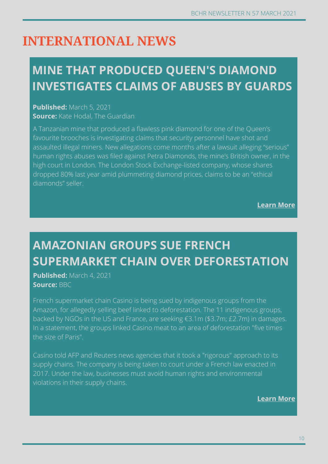# **INTERNATIONAL NEWS**

# **MINE THAT PRODUCED QUEEN'S DIAMOND INVESTIGATES CLAIMS OF ABUSES BY GUARDS**

**Published:** March 5, 2021 **Source:** Kate Hodal, The Guardian

A Tanzanian mine that produced a flawless pink diamond for one of the Queen's favourite brooches is investigating claims that security personnel have shot and assaulted illegal miners. New allegations come months after a lawsuit alleging "serious" human rights abuses was filed against Petra Diamonds, the mine's British owner, in the high court in London. The London Stock Exchange-listed company, whose shares dropped 80% last year amid plummeting diamond prices, claims to be an "ethical diamonds" seller.

**Learn More**

# **AMAZONIAN GROUPS SUE FRENCH SUPERMARKET CHAIN OVER DEFORESTATION**

**Published:** March 4, 2021 **Source:** BBC

French supermarket chain Casino is being sued by indigenous groups from the Amazon, for allegedly selling beef linked to deforestation. The 11 indigenous groups, backed by NGOs in the US and France, are seeking €3.1m (\$3.7m; £2.7m) in damages. In a statement, the groups linked Casino meat to an area of deforestation "five times the size of Paris".

Casino told AFP and Reuters news agencies that it took a "rigorous" approach to its supply chains. The company is being taken to court under a French law enacted in 2017. Under the law, businesses must avoid human rights and environmental violations in their supply chains.

**Learn more Learn More**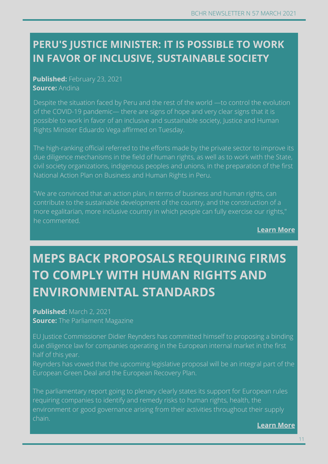# **CAMBODIA: COVID-19 OUTBREAK RAISES SERIOUS IN FAVOR OF INCLUSIVE, SUSTAINABLE SOCIETY PERU'S JUSTICE MINISTER: IT IS POSSIBLE TO WORK**

## **Published:** February 23, 2021 **Concerns Workers' Published:**  $\blacksquare$ **Source:** Andina

Despite the situation faced by Peru and the rest of the world —to control the evolution of the COVID-19 pandemic— there are signs of hope and very clear signs that it is possible to work in favor of an inclusive and sustainable society, Justice and Human Rights Minister Eduardo Vega affirmed on Tuesday.

The high-ranking official referred to the efforts made by the private sector to improve its due diligence mechanisms in the field of human rights, as well as to work with the State, civil society organizations, indigenous peoples and unions, in the preparation of the first National Action Plan on Business and Human Rights in Peru.

more egalitarian, more inclusive country in which people can fully exercise our rights,"<br>. "We are convinced that an action plan, in terms of business and human rights, can contribute to the sustainable development of the country, and the construction of a he commented.

**Learn More**

# **MEPS BACK PROPOSALS REQUIRING FIRMS TO COMPLY WITH HUMAN RIGHTS AND ENVIRONMENTAL STANDARDS**

**Published:** March 2, 2021 **Source:** The Parliament Magazine

EU Justice Commissioner Didier Reynders has committed himself to proposing a binding due diligence law for companies operating in the European internal market in the first half of this year.

Reynders has vowed that the upcoming legislative proposal will be an integral part of the European Green Deal and the European Recovery Plan.

The parliamentary report going to plenary clearly states its support for European rules requiring companies to identify and remedy risks to human rights, health, the environment or good governance arising from their activities throughout their supply chain.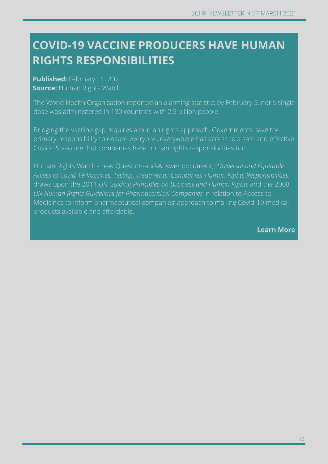# $R$ **IGHTS**  $R$ **ESPONSIBILITIES COVID-19 VACCINE PRODUCERS HAVE HUMAN**

**Published:** February 11, 2021 **Concerns Workers' Published:**  $\blacksquare$ **Source:** Human Rights Watch

The World Health Organization reported an alarming statistic: by February 5, not a single dose was administered in 130 countries with 2.5 billion people.

Bridging the vaccine gap requires a human rights approach. Governments have the primary responsibility to ensure everyone, everywhere has access to a safe and effective Covid-19 vaccine. But companies have human rights responsibilities too.

Human Rights Watch's new Question-and-Answer document, "*Universal and Equitable Access to Covid-19 Vaccines, Testing, Treatments: Companies' Human Rights Responsibilities*," draws upon the 2011 *UN Guiding Principles on Business and Human Rights* and the 2008 *UN Human Rights Guidelines for Pharmaceutical Companies* in relation to Access to Medicines to inform pharmaceutical companies' approach to making Covid-19 medical products available and affordable.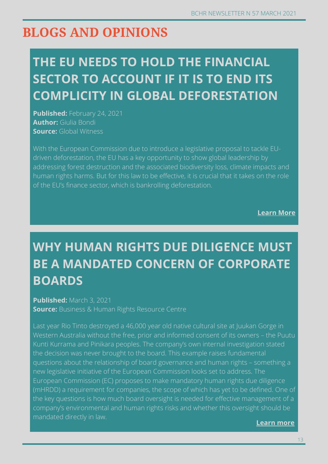# **BLOGS AND OPINIONS**

# **THE EU NEEDS TO HOLD THE FINANCIAL SECTOR TO ACCOUNT IF IT IS TO END ITS COMPLICITY IN GLOBAL DEFORESTATION**

**Published:** February 24, 2021 **Author:** Giulia Bondi **Source:** Global Witness

With the European Commission due to introduce a legislative proposal to tackle EUdriven deforestation, the EU has a key opportunity to show global leadership by addressing forest destruction and the associated biodiversity loss, climate impacts and human rights harms. But for this law to be effective, it is crucial that it takes on the role of the EU's finance sector, which is bankrolling deforestation.

**Learn More**

# **WHY HUMAN RIGHTS DUE DILIGENCE MUST BE A MANDATED CONCERN OF CORPORATE BOARDS**

#### **Published:** March 3, 2021 **Source:** Business & Human Rights Resource Centre

Last year Rio Tinto destroyed a 46,000 year old native cultural site at Juukan Gorge in Western Australia without the free, prior and informed consent of its owners – the Puutu Kunti Kurrama and Pinikara peoples. The company's own internal investigation stated the decision was never brought to the board. This example raises fundamental questions about the relationship of board governance and human rights – something a new legislative initiative of the European Commission looks set to address. The European Commission (EC) proposes to make mandatory human rights due diligence (mHRDD) a requirement for companies, the scope of which has yet to be defined. One of the key questions is how much board oversight is needed for effective management of a company's environmental and human rights risks and whether this oversight should be mandated directly in law.

**Learn more**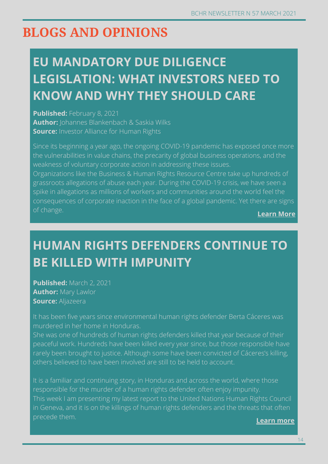# **BLOGS AND OPINIONS**

# **EU MANDATORY DUE DILIGENCE LEGISLATION: WHAT INVESTORS NEED TO KNOW AND WHY THEY SHOULD CARE**

**Published: February 8, 2021 Author:** Johannes Blankenbach & Saskia Wilks **Source:** Investor Alliance for Human Rights

Since its beginning a year ago, the ongoing COVID-19 pandemic has exposed once more the vulnerabilities in value chains, the precarity of global business operations, and the weakness of voluntary corporate action in addressing these issues.

Organizations like the Business & Human Rights Resource Centre take up hundreds of grassroots allegations of abuse each year. During the COVID-19 crisis, we have seen a spike in allegations as millions of workers and communities around the world feel the consequences of corporate inaction in the face of a global pandemic. Yet there are signs of change. **Learn More**

# **HUMAN RIGHTS DEFENDERS CONTINUE TO BE KILLED WITH IMPUNITY**

**Published:** March 2, 2021 **Author:** Mary Lawlor **Source:** Aljazeera

It has been five years since environmental human rights defender Berta Cáceres was murdered in her home in Honduras.

She was one of hundreds of human rights defenders killed that year because of their peaceful work. Hundreds have been killed every year since, but those responsible have rarely been brought to justice. Although some have been convicted of Cáceres's killing, others believed to have been involved are still to be held to account.

It is a familiar and continuing story, in Honduras and across the world, where those responsible for the murder of a human rights defender often enjoy impunity. This week I am presenting my latest report to the United Nations Human Rights Council in Geneva, and it is on the killings of human rights defenders and the threats that often precede them.

**Learn more**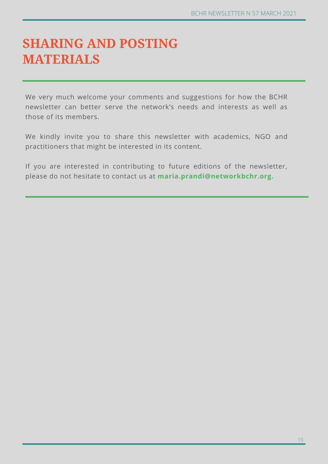# **SHARING AND POSTING MATERIALS**

We very much welcome your comments and suggestions for how the BCHR newsletter can better serve the network's needs and interests as well as those of its members.

We kindly invite you to share this newsletter with academics, NGO and practitioners that might be interested in its content.

If you are interested in contributing to future editions of the newsletter, please do not hesitate to contact us at **maria.prandi@networkbchr.org.**